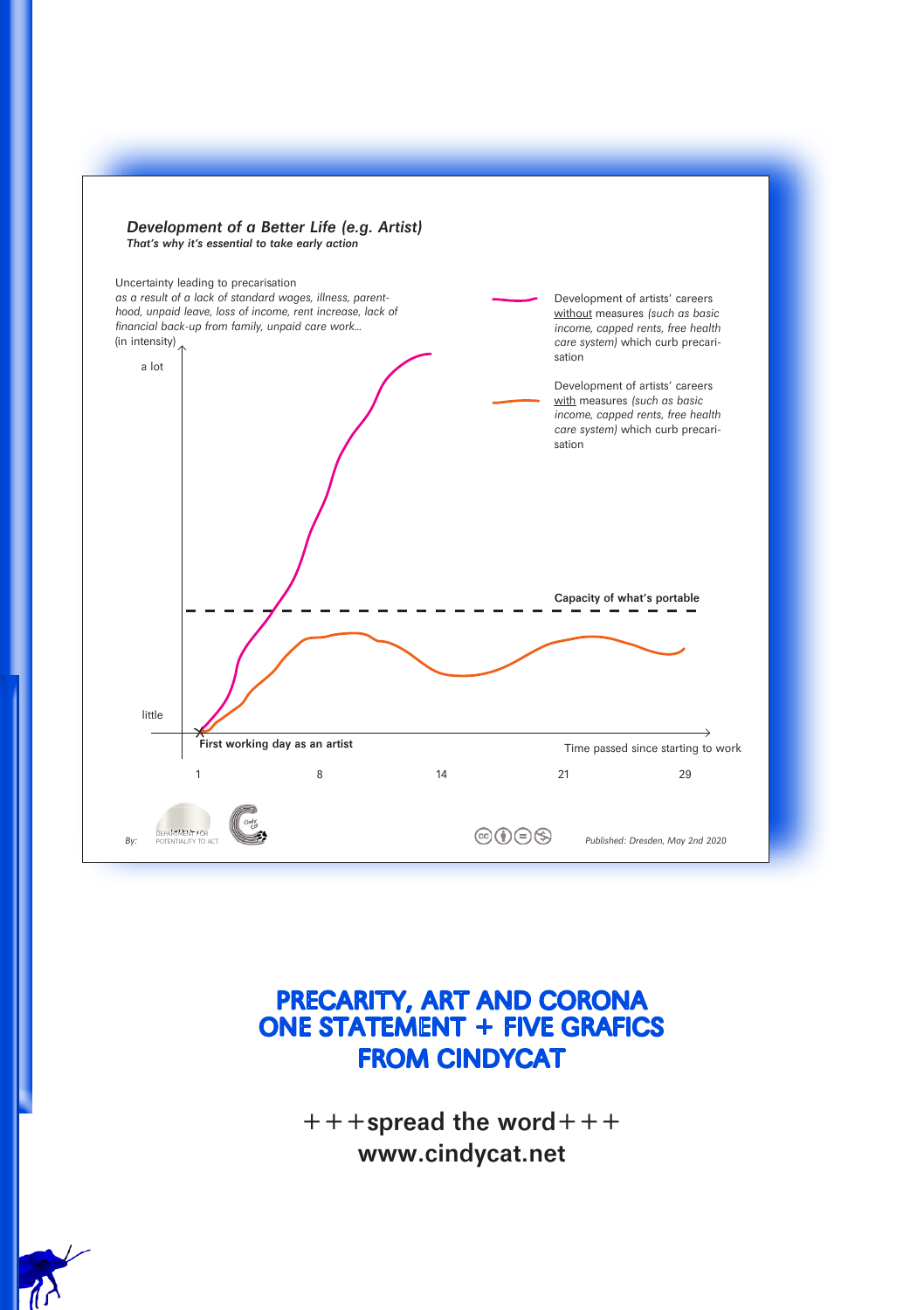

## PRECARITY, ART AND CORONA ONE STATEMENT + FIVE GRAFICS FROM CINDYCAT

 $+++$ spread the word $++$ www.cindycat.net

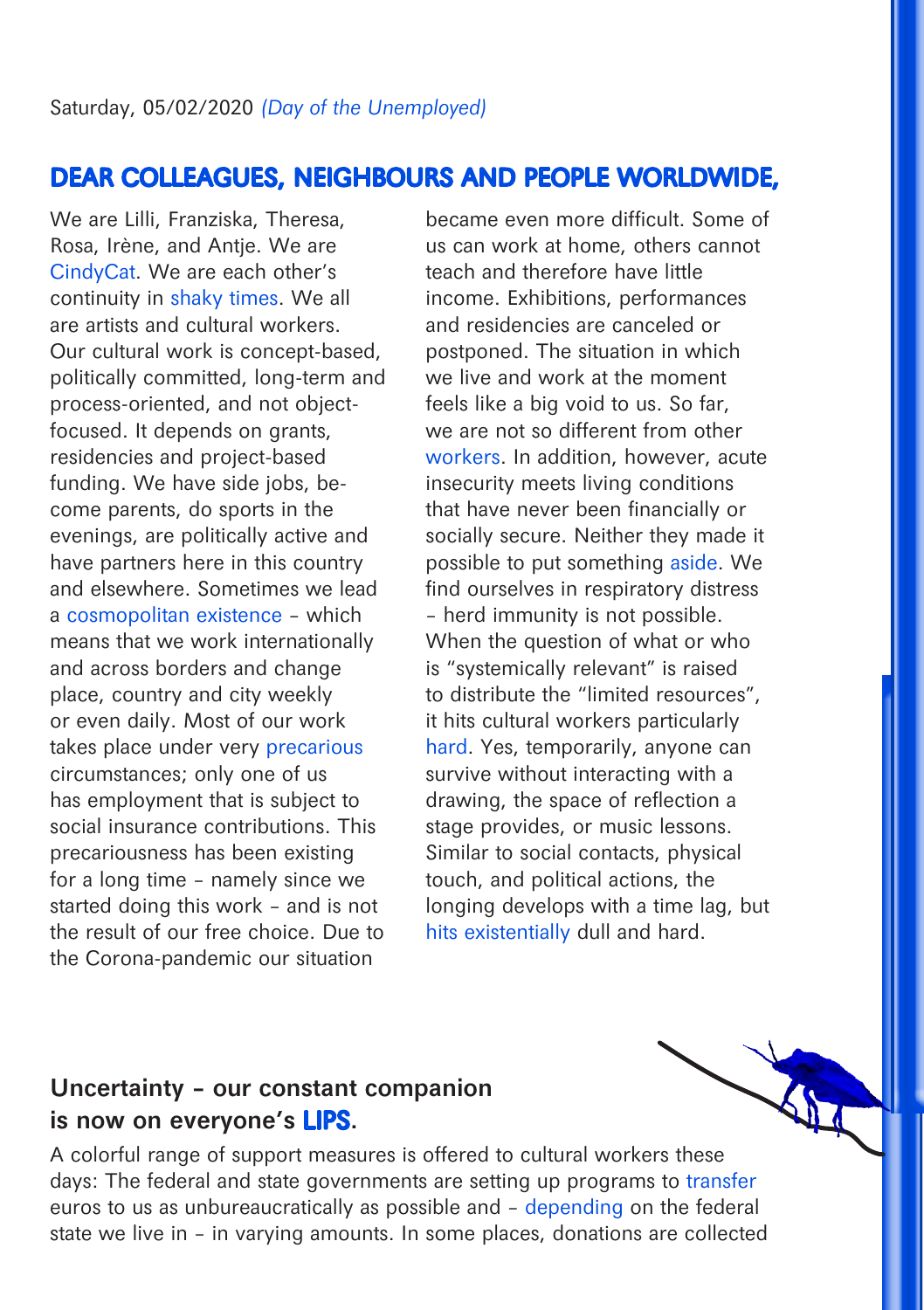# DEAR COLLEAGUES, NEIGHBOURS AND PEOPLE WORLDWIDE,

We are Lilli, Franziska, Theresa, Rosa, Irène, and Antje. We are CindyCat. We are each other's continuity in shaky times. We all are artists and cultural workers. Our cultural work is concept-based, politically committed, long-term and process-oriented, and not objectfocused. It depends on grants, residencies and project-based funding. We have side jobs, become parents, do sports in the evenings, are politically active and have partners here in this country and elsewhere. Sometimes we lead a cosmopolitan existence – which means that we work internationally and across borders and change place, country and city weekly or even daily. Most of our work takes place under very precarious circumstances; only one of us has employment that is subject to social insurance contributions. This precariousness has been existing for a long time – namely since we started doing this work – and is not the result of our free choice. Due to the Corona-pandemic our situation

became even more difficult. Some of us can work at home, others cannot teach and therefore have little income. Exhibitions, performances and residencies are canceled or postponed. The situation in which we live and work at the moment feels like a big void to us. So far, we are not so different from other workers. In addition, however, acute insecurity meets living conditions that have never been financially or socially secure. Neither they made it possible to put something aside. We find ourselves in respiratory distress – herd immunity is not possible. When the question of what or who is "systemically relevant" is raised to distribute the "limited resources", it hits cultural workers particularly hard. Yes, temporarily, anyone can survive without interacting with a drawing, the space of reflection a stage provides, or music lessons. Similar to social contacts, physical touch, and political actions, the longing develops with a time lag, but hits existentially dull and hard.

## Uncertainty – our constant companion is now on everyone's LIPS.

A colorful range of support measures is offered to cultural workers these days: The federal and state governments are setting up programs to transfer euros to us as unbureaucratically as possible and – depending on the federal state we live in – in varying amounts. In some places, donations are collected

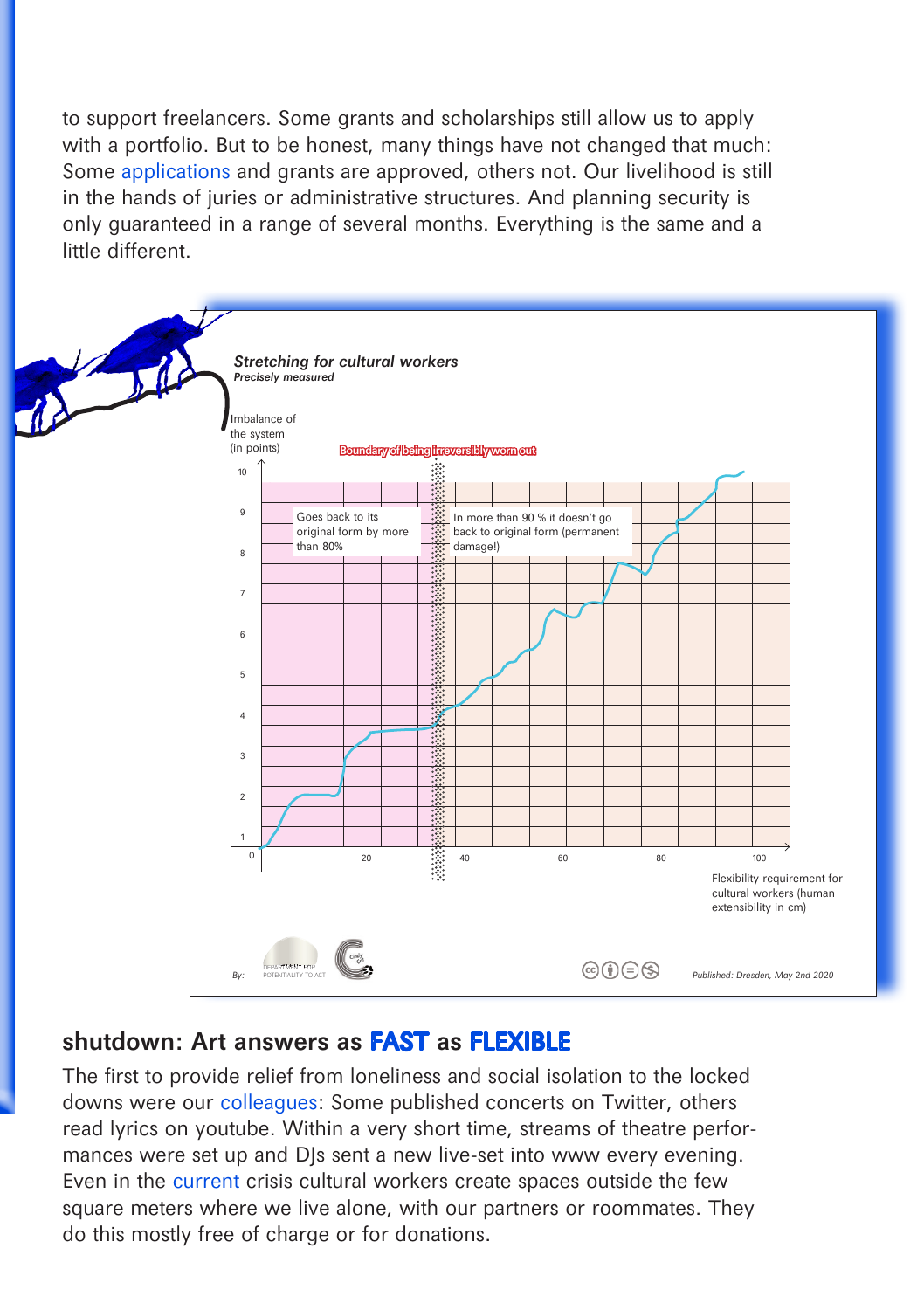to support freelancers. Some grants and scholarships still allow us to apply with a portfolio. But to be honest, many things have not changed that much: Some applications and grants are approved, others not. Our livelihood is still in the hands of juries or administrative structures. And planning security is only guaranteed in a range of several months. Everything is the same and a little different.



#### shutdown: Art answers as **FAST** as **FLEXIBLE**

The first to provide relief from loneliness and social isolation to the locked downs were our colleagues: Some published concerts on Twitter, others read lyrics on youtube. Within a very short time, streams of theatre performances were set up and DJs sent a new live-set into www every evening. Even in the current crisis cultural workers create spaces outside the few square meters where we live alone, with our partners or roommates. They do this mostly free of charge or for donations.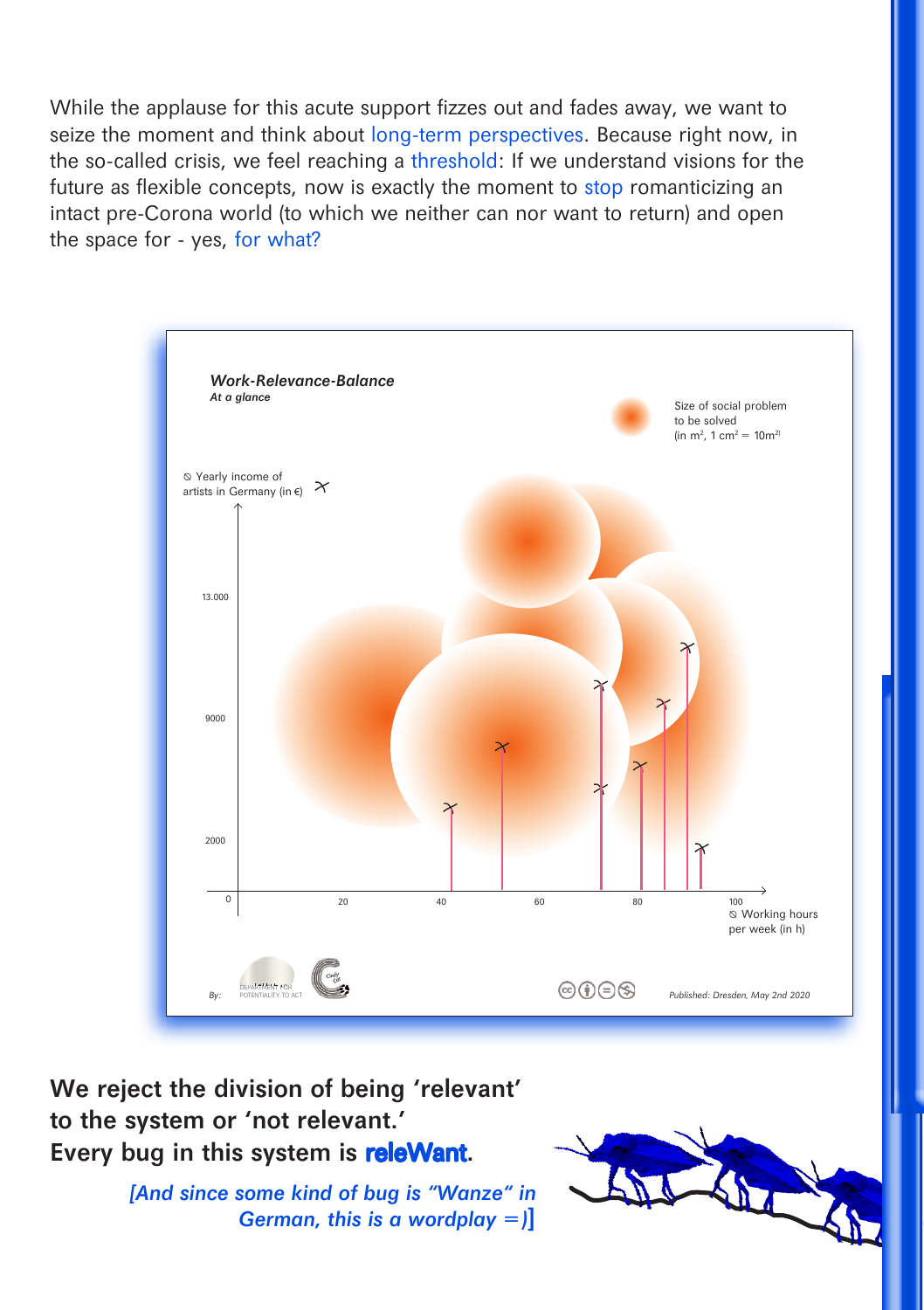While the applause for this acute support fizzes out and fades away, we want to seize the moment and think about long-term perspectives. Because right now, in the so-called crisis, we feel reaching a threshold: If we understand visions for the future as flexible concepts, now is exactly the moment to stop romanticizing an intact pre-Corona world (to which we neither can nor want to return) and open the space for - yes, for what?



We reject the division of being 'relevant' to the system or 'not relevant.' Every bug in this system is **releWant**.

> [And since some kind of bug is "Wanze" in German, this is a wordplay  $=$ )

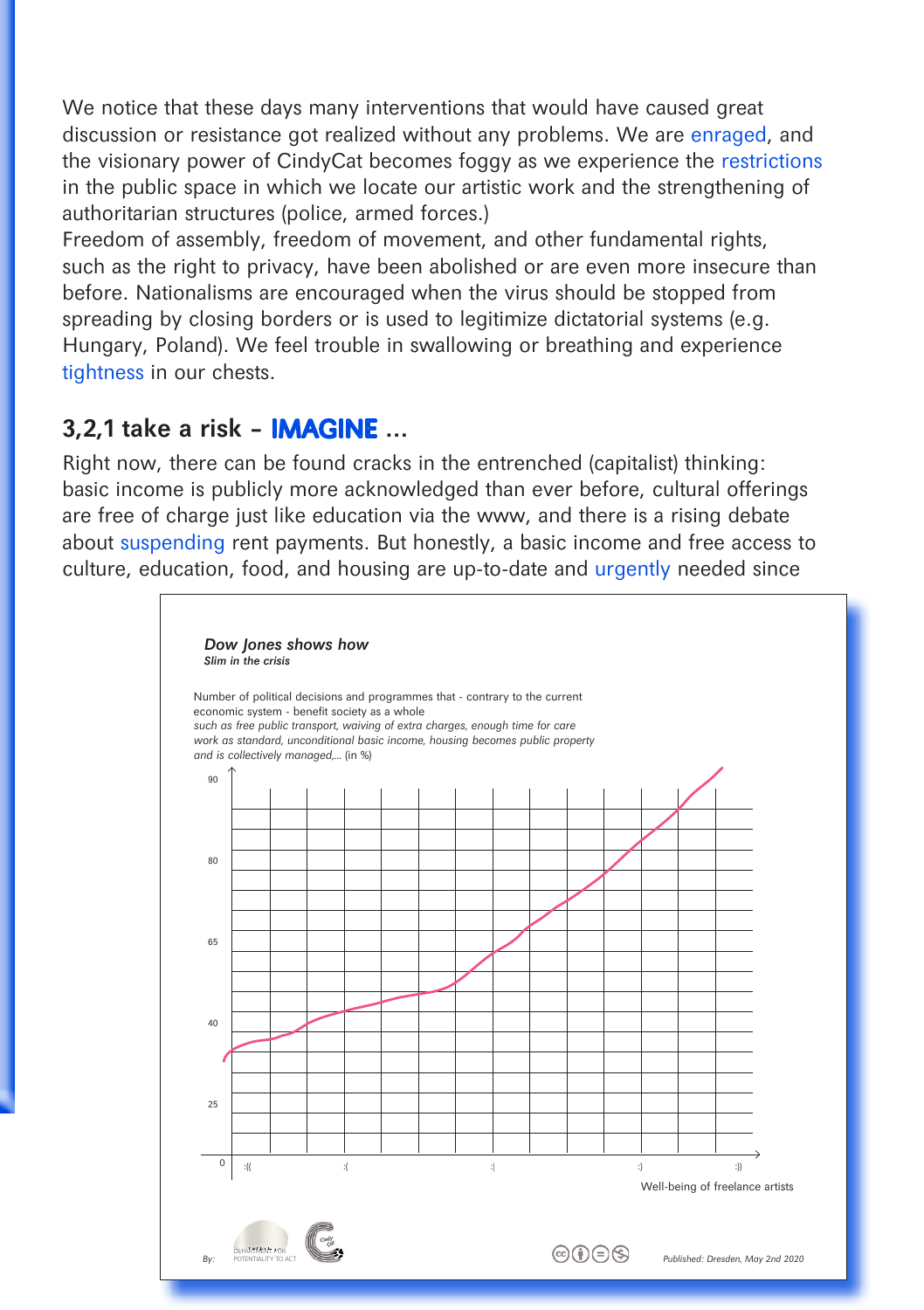We notice that these days many interventions that would have caused great discussion or resistance got realized without any problems. We are enraged, and the visionary power of CindyCat becomes foggy as we experience the restrictions in the public space in which we locate our artistic work and the strengthening of authoritarian structures (police, armed forces.)

Freedom of assembly, freedom of movement, and other fundamental rights, such as the right to privacy, have been abolished or are even more insecure than before. Nationalisms are encouraged when the virus should be stopped from spreading by closing borders or is used to legitimize dictatorial systems (e.g. Hungary, Poland). We feel trouble in swallowing or breathing and experience tightness in our chests.

## 3,2,1 take a risk – IMAGINE ...

Right now, there can be found cracks in the entrenched (capitalist) thinking: basic income is publicly more acknowledged than ever before, cultural offerings are free of charge just like education via the www, and there is a rising debate about suspending rent payments. But honestly, a basic income and free access to culture, education, food, and housing are up-to-date and urgently needed since

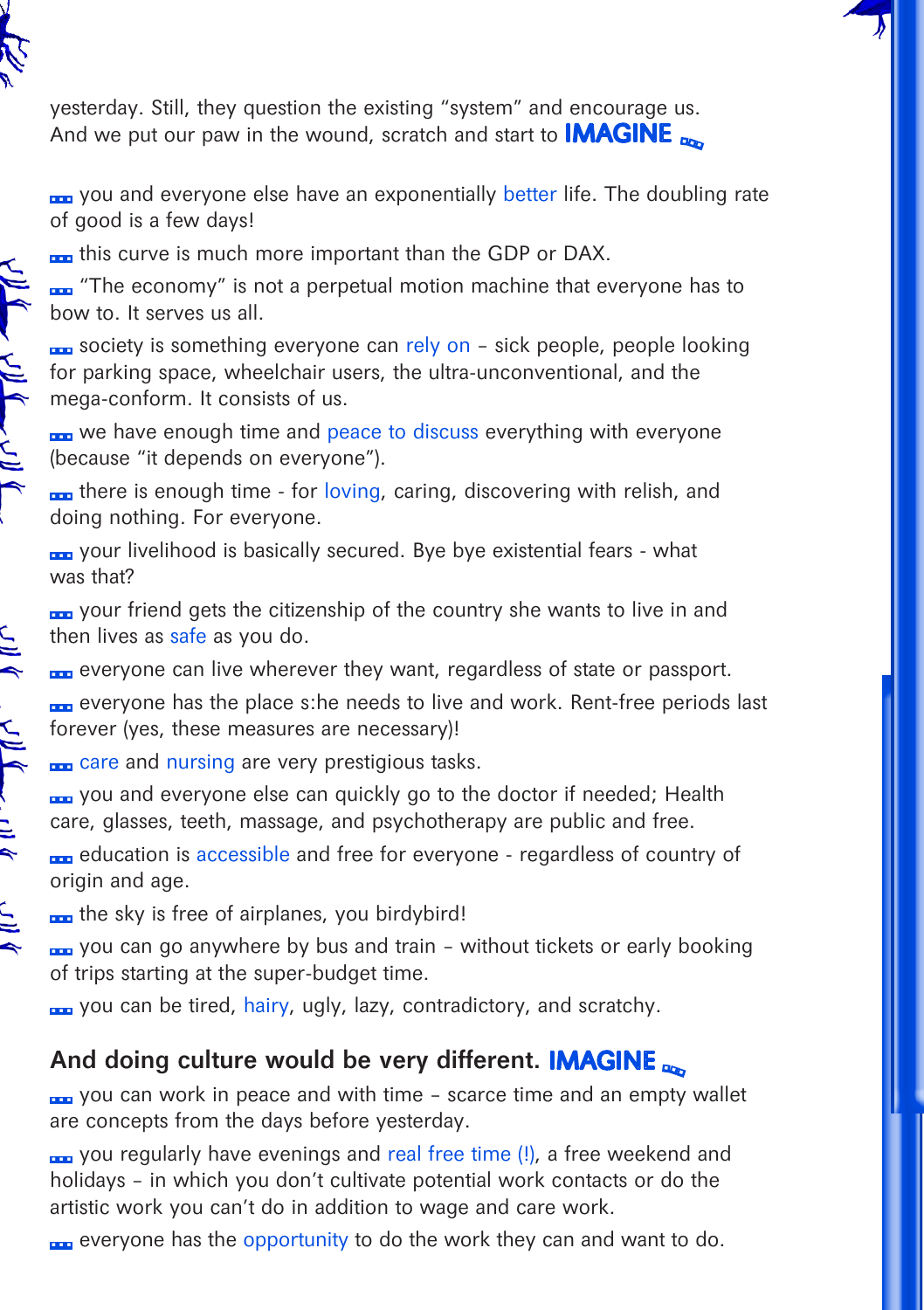

 $\sum_{i=1}^{n}$ 

 $\frac{1}{2}$ 

 $\frac{1}{2}$ 

 $\tilde{\mathbb{F}}$ 

yesterday. Still, they question the existing "system" and encourage us. And we put our paw in the wound, scratch and start to **IMAGINE** 

<sub>no</sub> you and everyone else have an exponentially better life. The doubling rate of good is a few days!

**no** this curve is much more important than the GDP or DAX.

**nm** "The economy" is not a perpetual motion machine that everyone has to bow to. It serves us all.

<sub>ng</sub> society is something everyone can rely on – sick people, people looking for parking space, wheelchair users, the ultra-unconventional, and the mega-conform. It consists of us.

<sub>n</sub>. we have enough time and peace to discuss everything with everyone (because "it depends on everyone").

 $\sqrt{10}$  ( $\sqrt{10}$ ) ( $\sqrt{10}$ ) **nm** there is enough time - for loving, caring, discovering with relish, and doing nothing. For everyone.

your livelihood is basically secured. Bye bye existential fears - what was that?

<sub>non</sub> your friend gets the citizenship of the country she wants to live in and then lives as safe as you do.

**EXC** everyone can live wherever they want, regardless of state or passport. <sub>non</sub> everyone has the place s:he needs to live and work. Rent-free periods last forever (yes, these measures are necessary)!

**no** care and nursing are very prestigious tasks.

<sub>non</sub> you and everyone else can quickly go to the doctor if needed; Health care, glasses, teeth, massage, and psychotherapy are public and free.

<sub>n</sub> education is accessible and free for everyone - regardless of country of origin and age.

**no** the sky is free of airplanes, you birdybird!

<sub>ng</sub> you can go anywhere by bus and train – without tickets or early booking of trips starting at the super-budget time.

<sub>n</sub> you can be tired, hairy, ugly, lazy, contradictory, and scratchy.

# And doing culture would be very different. **IMAGINE**

you can work in peace and with time - scarce time and an empty wallet are concepts from the days before yesterday.

ra you regularly have evenings and real free time (!), a free weekend and holidays – in which you don't cultivate potential work contacts or do the artistic work you can't do in addition to wage and care work.

**no** everyone has the opportunity to do the work they can and want to do.